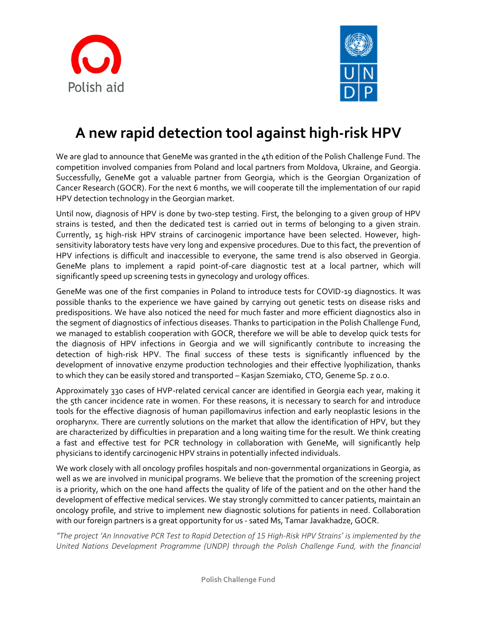



## **A new rapid detection tool against high-risk HPV**

We are glad to announce that GeneMe was granted in the 4th edition of the Polish Challenge Fund. The competition involved companies from Poland and local partners from Moldova, Ukraine, and Georgia. Successfully, GeneMe got a valuable partner from Georgia, which is the Georgian Organization of Cancer Research (GOCR). For the next 6 months, we will cooperate till the implementation of our rapid HPV detection technology in the Georgian market.

Until now, diagnosis of HPV is done by two-step testing. First, the belonging to a given group of HPV strains is tested, and then the dedicated test is carried out in terms of belonging to a given strain. Currently, 15 high-risk HPV strains of carcinogenic importance have been selected. However, highsensitivity laboratory tests have very long and expensive procedures. Due to this fact, the prevention of HPV infections is difficult and inaccessible to everyone, the same trend is also observed in Georgia. GeneMe plans to implement a rapid point-of-care diagnostic test at a local partner, which will significantly speed up screening tests in gynecology and urology offices.

GeneMe was one of the first companies in Poland to introduce tests for COVID-19 diagnostics. It was possible thanks to the experience we have gained by carrying out genetic tests on disease risks and predispositions. We have also noticed the need for much faster and more efficient diagnostics also in the segment of diagnostics of infectious diseases. Thanks to participation in the Polish Challenge Fund, we managed to establish cooperation with GOCR, therefore we will be able to develop quick tests for the diagnosis of HPV infections in Georgia and we will significantly contribute to increasing the detection of high-risk HPV. The final success of these tests is significantly influenced by the development of innovative enzyme production technologies and their effective lyophilization, thanks to which they can be easily stored and transported – Kasjan Szemiako, CTO, Geneme Sp. z o.o.

Approximately 330 cases of HVP-related cervical cancer are identified in Georgia each year, making it the 5th cancer incidence rate in women. For these reasons, it is necessary to search for and introduce tools for the effective diagnosis of human papillomavirus infection and early neoplastic lesions in the oropharynx. There are currently solutions on the market that allow the identification of HPV, but they are characterized by difficulties in preparation and a long waiting time for the result. We think creating a fast and effective test for PCR technology in collaboration with GeneMe, will significantly help physicians to identify carcinogenic HPV strains in potentially infected individuals.

We work closely with all oncology profiles hospitals and non-governmental organizations in Georgia, as well as we are involved in municipal programs. We believe that the promotion of the screening project is a priority, which on the one hand affects the quality of life of the patient and on the other hand the development of effective medical services. We stay strongly committed to cancer patients, maintain an oncology profile, and strive to implement new diagnostic solutions for patients in need. Collaboration with our foreign partners is a great opportunity for us - sated Ms, Tamar Javakhadze, GOCR.

"The project 'An Innovative PCR Test to Rapid Detection of 15 High-Risk HPV Strains' is implemented by the *United Nations Development Programme (UNDP) through the Polish Challenge Fund, with the financial*